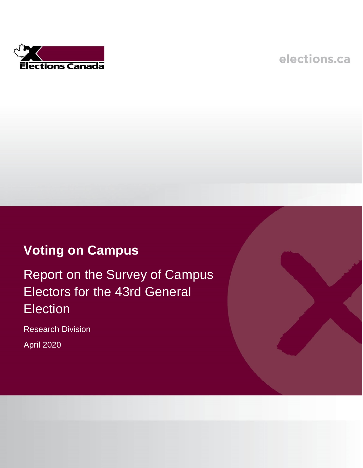

elections.ca

# **Voting on Campus**

Report on the Survey of Campus Electors for the 43rd General **Election** 

Research Division

April 2020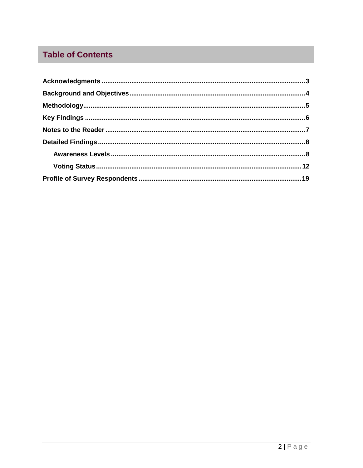# **Table of Contents**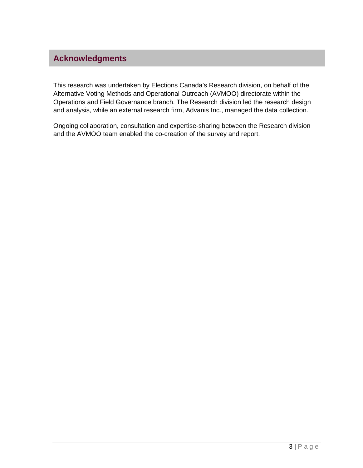# <span id="page-2-0"></span>**Acknowledgments**

This research was undertaken by Elections Canada's Research division, on behalf of the Alternative Voting Methods and Operational Outreach (AVMOO) directorate within the Operations and Field Governance branch. The Research division led the research design and analysis, while an external research firm, Advanis Inc., managed the data collection.

Ongoing collaboration, consultation and expertise-sharing between the Research division and the AVMOO team enabled the co-creation of the survey and report.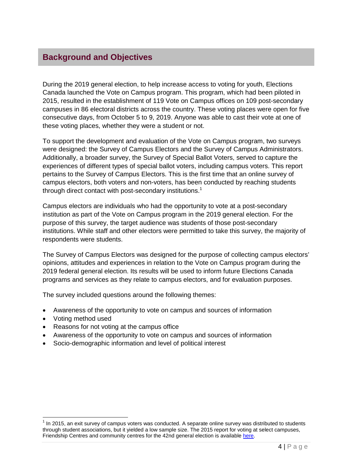# <span id="page-3-0"></span>**Background and Objectives**

During the 2019 general election, to help increase access to voting for youth, Elections Canada launched the Vote on Campus program. This program, which had been piloted in 2015, resulted in the establishment of 119 Vote on Campus offices on 109 post-secondary campuses in 86 electoral districts across the country. These voting places were open for five consecutive days, from October 5 to 9, 2019. Anyone was able to cast their vote at one of these voting places, whether they were a student or not.

To support the development and evaluation of the Vote on Campus program, two surveys were designed: the Survey of Campus Electors and the Survey of Campus Administrators. Additionally, a broader survey, the Survey of Special Ballot Voters, served to capture the experiences of different types of special ballot voters, including campus voters. This report pertains to the Survey of Campus Electors. This is the first time that an online survey of campus electors, both voters and non-voters, has been conducted by reaching students through direct contact with post-secondary institutions.<sup>1</sup>

Campus electors are individuals who had the opportunity to vote at a post-secondary institution as part of the Vote on Campus program in the 2019 general election. For the purpose of this survey, the target audience was students of those post-secondary institutions. While staff and other electors were permitted to take this survey, the majority of respondents were students.

The Survey of Campus Electors was designed for the purpose of collecting campus electors' opinions, attitudes and experiences in relation to the Vote on Campus program during the 2019 federal general election. Its results will be used to inform future Elections Canada programs and services as they relate to campus electors, and for evaluation purposes.

The survey included questions around the following themes:

- Awareness of the opportunity to vote on campus and sources of information
- Voting method used

- Reasons for not voting at the campus office
- Awareness of the opportunity to vote on campus and sources of information
- Socio-demographic information and level of political interest

 $1$  In 2015, an exit survey of campus voters was conducted. A separate online survey was distributed to students through student associations, but it yielded a low sample size. The 2015 report for voting at select campuses, Friendship Centres and community centres for the 42nd general election is availabl[e here.](https://www.elections.ca/res/rec/eval/pes2015/vsc/svr_e.pdf)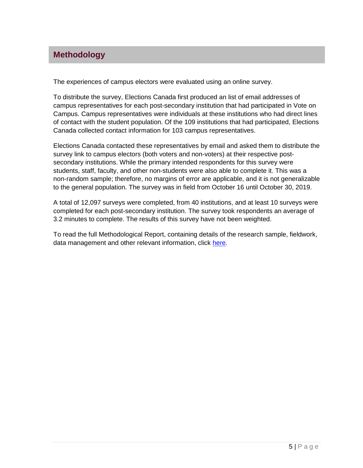### <span id="page-4-0"></span>**Methodology**

The experiences of campus electors were evaluated using an online survey.

To distribute the survey, Elections Canada first produced an list of email addresses of campus representatives for each post-secondary institution that had participated in Vote on Campus. Campus representatives were individuals at these institutions who had direct lines of contact with the student population. Of the 109 institutions that had participated, Elections Canada collected contact information for 103 campus representatives.

Elections Canada contacted these representatives by email and asked them to distribute the survey link to campus electors (both voters and non-voters) at their respective postsecondary institutions. While the primary intended respondents for this survey were students, staff, faculty, and other non-students were also able to complete it. This was a non-random sample; therefore, no margins of error are applicable, and it is not generalizable to the general population. The survey was in field from October 16 until October 30, 2019.

A total of 12,097 surveys were completed, from 40 institutions, and at least 10 surveys were completed for each post-secondary institution. The survey took respondents an average of 3.2 minutes to complete. The results of this survey have not been weighted.

To read the full Methodological Report, containing details of the research sample, fieldwork, data management and other relevant information, click [here.](https://www.elections.ca/content.aspx?section=res&dir=rec/eval/pes2019/camele/meth&document=index&lang=e)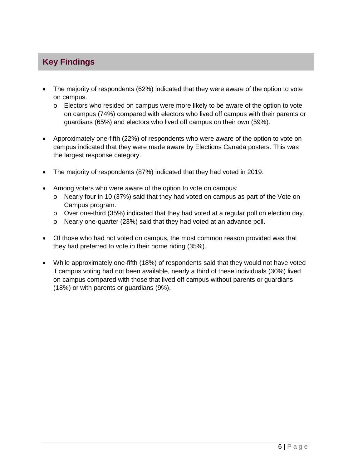# <span id="page-5-0"></span>**Key Findings**

- The majority of respondents (62%) indicated that they were aware of the option to vote on campus.
	- $\circ$  Electors who resided on campus were more likely to be aware of the option to vote on campus (74%) compared with electors who lived off campus with their parents or guardians (65%) and electors who lived off campus on their own (59%).
- Approximately one-fifth (22%) of respondents who were aware of the option to vote on campus indicated that they were made aware by Elections Canada posters. This was the largest response category.
- The majority of respondents (87%) indicated that they had voted in 2019.
- Among voters who were aware of the option to vote on campus:
	- o Nearly four in 10 (37%) said that they had voted on campus as part of the Vote on Campus program.
	- $\circ$  Over one-third (35%) indicated that they had voted at a regular poll on election day.
	- o Nearly one-quarter (23%) said that they had voted at an advance poll.
- Of those who had not voted on campus, the most common reason provided was that they had preferred to vote in their home riding (35%).
- While approximately one-fifth (18%) of respondents said that they would not have voted if campus voting had not been available, nearly a third of these individuals (30%) lived on campus compared with those that lived off campus without parents or guardians (18%) or with parents or guardians (9%).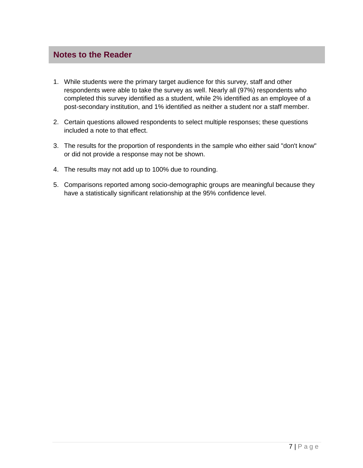#### <span id="page-6-0"></span>**Notes to the Reader**

- 1. While students were the primary target audience for this survey, staff and other respondents were able to take the survey as well. Nearly all (97%) respondents who completed this survey identified as a student, while 2% identified as an employee of a post-secondary institution, and 1% identified as neither a student nor a staff member.
- 2. Certain questions allowed respondents to select multiple responses; these questions included a note to that effect.
- 3. The results for the proportion of respondents in the sample who either said "don't know" or did not provide a response may not be shown.
- 4. The results may not add up to 100% due to rounding.
- 5. Comparisons reported among socio-demographic groups are meaningful because they have a statistically significant relationship at the 95% confidence level.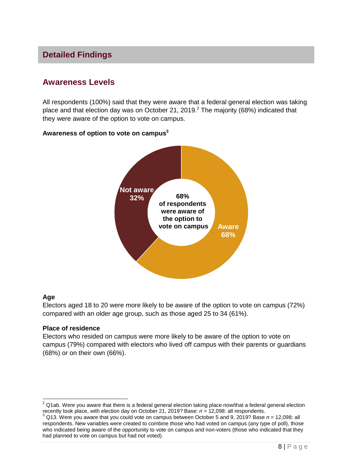## <span id="page-7-0"></span>**Detailed Findings**

# **Awareness Levels**

All respondents (100%) said that they were aware that a federal general election was taking place and that election day was on October 21, 2019. $^2$  The majority (68%) indicated that they were aware of the option to vote on campus.

#### **Awareness of option to vote on campus<sup>3</sup>**



#### **Age**

Electors aged 18 to 20 were more likely to be aware of the option to vote on campus (72%) compared with an older age group, such as those aged 25 to 34 (61%).

#### **Place of residence**

Electors who resided on campus were more likely to be aware of the option to vote on campus (79%) compared with electors who lived off campus with their parents or guardians (68%) or on their own (66%).

 $^2$  Q1ab. Were you aware that there is a federal general election taking place now/that a federal general election recently took place, with election day on October 21, 2019? Base: *n* = 12,098: all respondents.

<sup>3</sup> Q13. Were you aware that you could vote on campus between October 5 and 9, 2019? Base *n* = 12,098: all respondents. New variables were created to combine those who had voted on campus (any type of poll), those who indicated being aware of the opportunity to vote on campus and non-voters (those who indicated that they had planned to vote on campus but had not voted).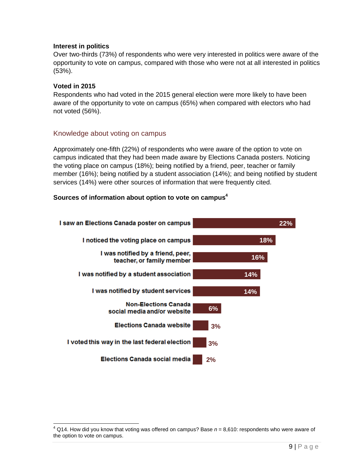#### **Interest in politics**

Over two-thirds (73%) of respondents who were very interested in politics were aware of the opportunity to vote on campus, compared with those who were not at all interested in politics (53%).

#### **Voted in 2015**

 $\overline{\phantom{a}}$ 

Respondents who had voted in the 2015 general election were more likely to have been aware of the opportunity to vote on campus (65%) when compared with electors who had not voted (56%).

#### Knowledge about voting on campus

Approximately one-fifth (22%) of respondents who were aware of the option to vote on campus indicated that they had been made aware by Elections Canada posters. Noticing the voting place on campus (18%); being notified by a friend, peer, teacher or family member (16%); being notified by a student association (14%); and being notified by student services (14%) were other sources of information that were frequently cited.

#### **Sources of information about option to vote on campus<sup>4</sup>**



<sup>4</sup> Q14. How did you know that voting was offered on campus? Base *n* = 8,610: respondents who were aware of the option to vote on campus.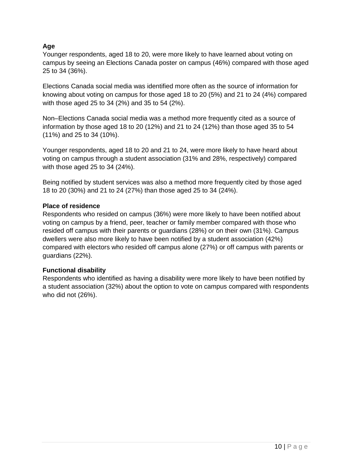#### **Age**

Younger respondents, aged 18 to 20, were more likely to have learned about voting on campus by seeing an Elections Canada poster on campus (46%) compared with those aged 25 to 34 (36%).

Elections Canada social media was identified more often as the source of information for knowing about voting on campus for those aged 18 to 20 (5%) and 21 to 24 (4%) compared with those aged 25 to 34 (2%) and 35 to 54 (2%).

Non–Elections Canada social media was a method more frequently cited as a source of information by those aged 18 to 20 (12%) and 21 to 24 (12%) than those aged 35 to 54 (11%) and 25 to 34 (10%).

Younger respondents, aged 18 to 20 and 21 to 24, were more likely to have heard about voting on campus through a student association (31% and 28%, respectively) compared with those aged 25 to 34 (24%).

Being notified by student services was also a method more frequently cited by those aged 18 to 20 (30%) and 21 to 24 (27%) than those aged 25 to 34 (24%).

#### **Place of residence**

Respondents who resided on campus (36%) were more likely to have been notified about voting on campus by a friend, peer, teacher or family member compared with those who resided off campus with their parents or guardians (28%) or on their own (31%). Campus dwellers were also more likely to have been notified by a student association (42%) compared with electors who resided off campus alone (27%) or off campus with parents or guardians (22%).

#### **Functional disability**

Respondents who identified as having a disability were more likely to have been notified by a student association (32%) about the option to vote on campus compared with respondents who did not (26%).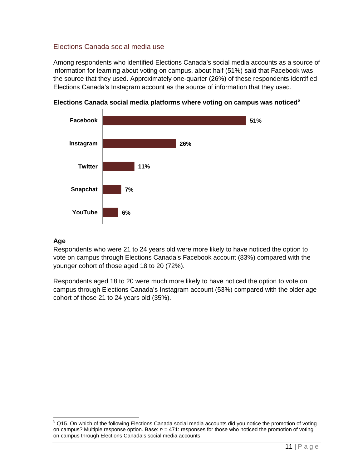#### Elections Canada social media use

Among respondents who identified Elections Canada's social media accounts as a source of information for learning about voting on campus, about half (51%) said that Facebook was the source that they used. Approximately one-quarter (26%) of these respondents identified Elections Canada's Instagram account as the source of information that they used.



**Elections Canada social media platforms where voting on campus was noticed<sup>5</sup>**

#### **Age**

Respondents who were 21 to 24 years old were more likely to have noticed the option to vote on campus through Elections Canada's Facebook account (83%) compared with the younger cohort of those aged 18 to 20 (72%).

Respondents aged 18 to 20 were much more likely to have noticed the option to vote on campus through Elections Canada's Instagram account (53%) compared with the older age cohort of those 21 to 24 years old (35%).

  $5$  Q15. On which of the following Elections Canada social media accounts did you notice the promotion of voting on campus? Multiple response option. Base: *n* = 471: responses for those who noticed the promotion of voting on campus through Elections Canada's social media accounts.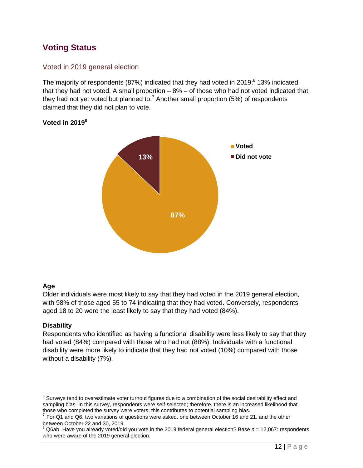# **Voting Status**

#### Voted in 2019 general election

The majority of respondents (87%) indicated that they had voted in 2019; $6$  13% indicated that they had not voted. A small proportion – 8% – of those who had not voted indicated that they had not yet voted but planned to.<sup>7</sup> Another small proportion (5%) of respondents claimed that they did not plan to vote.



#### **Voted in 2019<sup>8</sup>**

#### **Age**

Older individuals were most likely to say that they had voted in the 2019 general election, with 98% of those aged 55 to 74 indicating that they had voted. Conversely, respondents aged 18 to 20 were the least likely to say that they had voted (84%).

#### **Disability**

Respondents who identified as having a functional disability were less likely to say that they had voted (84%) compared with those who had not (88%). Individuals with a functional disability were more likely to indicate that they had not voted (10%) compared with those without a disability (7%).

  $^6$  Surveys tend to overestimate voter turnout figures due to a combination of the social desirability effect and sampling bias. In this survey, respondents were self-selected; therefore, there is an increased likelihood that those who completed the survey were voters; this contributes to potential sampling bias.<br><sup>7</sup> Fer Q1 and Q6, two veristings of questings were saked, and between October 16 and 3

For Q1 and Q6, two variations of questions were asked, one between October 16 and 21, and the other between October 22 and 30, 2019.

<sup>8</sup> Q6ab. Have you already voted/did you vote in the 2019 federal general election? Base *n* = 12,067: respondents who were aware of the 2019 general election.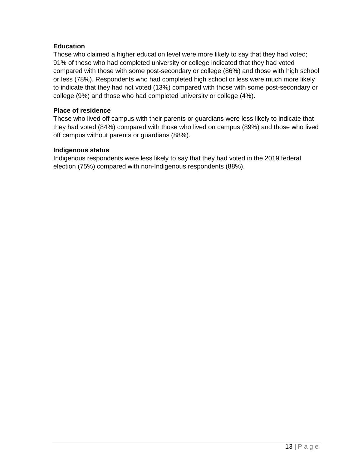#### **Education**

Those who claimed a higher education level were more likely to say that they had voted; 91% of those who had completed university or college indicated that they had voted compared with those with some post-secondary or college (86%) and those with high school or less (78%). Respondents who had completed high school or less were much more likely to indicate that they had not voted (13%) compared with those with some post-secondary or college (9%) and those who had completed university or college (4%).

#### **Place of residence**

Those who lived off campus with their parents or guardians were less likely to indicate that they had voted (84%) compared with those who lived on campus (89%) and those who lived off campus without parents or guardians (88%).

#### **Indigenous status**

Indigenous respondents were less likely to say that they had voted in the 2019 federal election (75%) compared with non-Indigenous respondents (88%).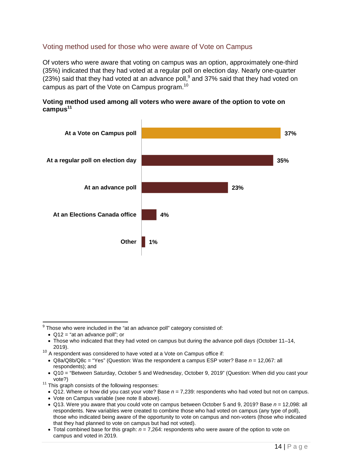#### Voting method used for those who were aware of Vote on Campus

Of voters who were aware that voting on campus was an option, approximately one-third (35%) indicated that they had voted at a regular poll on election day. Nearly one-quarter (23%) said that they had voted at an advance poll,  $9$  and 37% said that they had voted on campus as part of the Vote on Campus program.<sup>10</sup>



#### **Voting method used among all voters who were aware of the option to vote on campus<sup>11</sup>**

ercore who were included in the "at an advance poll" category consisted of:<br>Those who were included in the "at an advance poll" category consisted of:

<sup>•</sup> Q12 = "at an advance poll"; or

<sup>•</sup> Those who indicated that they had voted on campus but during the advance poll days (October 11–14, 2019).

<sup>&</sup>lt;sup>10</sup> A respondent was considered to have voted at a Vote on Campus office if:

<sup>•</sup> Q8a/Q8b/Q8c = "Yes" (Question: Was the respondent a campus ESP voter? Base *n* = 12,067: all respondents); and

<sup>•</sup> Q10 = "Between Saturday, October 5 and Wednesday, October 9, 2019" (Question: When did you cast your vote?)

 $11$  This graph consists of the following responses:

<sup>•</sup> Q12. Where or how did you cast your vote? Base *n* = 7,239: respondents who had voted but not on campus.

<sup>•</sup> Vote on Campus variable (see note 8 above).

<sup>•</sup> Q13. Were you aware that you could vote on campus between October 5 and 9, 2019? Base *n* = 12,098: all respondents. New variables were created to combine those who had voted on campus (any type of poll), those who indicated being aware of the opportunity to vote on campus and non-voters (those who indicated that they had planned to vote on campus but had not voted).

<sup>•</sup> Total combined base for this graph: *n* = 7,264: respondents who were aware of the option to vote on campus and voted in 2019.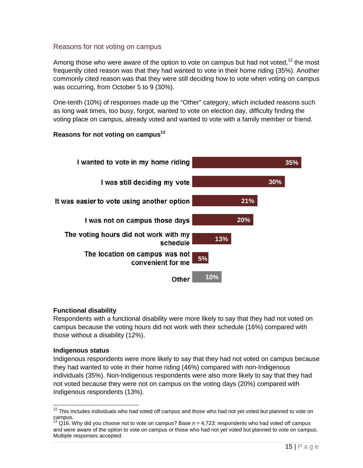#### Reasons for not voting on campus

Among those who were aware of the option to vote on campus but had not voted,<sup>12</sup> the most frequently cited reason was that they had wanted to vote in their home riding (35%). Another commonly cited reason was that they were still deciding how to vote when voting on campus was occurring, from October 5 to 9 (30%).

One-tenth (10%) of responses made up the "Other" category, which included reasons such as long wait times, too busy, forgot, wanted to vote on election day, difficulty finding the voting place on campus, already voted and wanted to vote with a family member or friend.

#### **Reasons for not voting on campus<sup>13</sup>**



#### **Functional disability**

Respondents with a functional disability were more likely to say that they had not voted on campus because the voting hours did not work with their schedule (16%) compared with those without a disability (12%).

#### **Indigenous status**

 $\overline{a}$ 

Indigenous respondents were more likely to say that they had not voted on campus because they had wanted to vote in their home riding (46%) compared with non-Indigenous individuals (35%). Non-Indigenous respondents were also more likely to say that they had not voted because they were not on campus on the voting days (20%) compared with Indigenous respondents (13%).

 $12$  This includes individuals who had voted off campus and those who had not yet voted but planned to vote on campus.

<sup>13</sup> Q16. Why did you choose not to vote on campus? Base *n* = 4,723: respondents who had voted off campus and were aware of the option to vote on campus or those who had not yet voted but planned to vote on campus. Multiple responses accepted.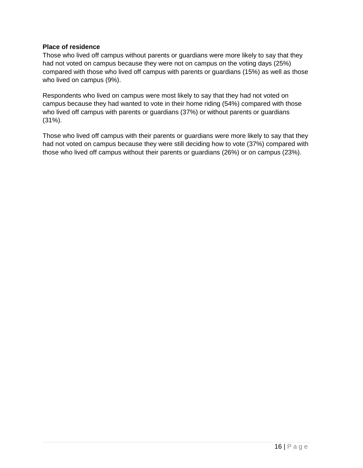#### **Place of residence**

Those who lived off campus without parents or guardians were more likely to say that they had not voted on campus because they were not on campus on the voting days (25%) compared with those who lived off campus with parents or guardians (15%) as well as those who lived on campus (9%).

Respondents who lived on campus were most likely to say that they had not voted on campus because they had wanted to vote in their home riding (54%) compared with those who lived off campus with parents or guardians (37%) or without parents or guardians (31%).

Those who lived off campus with their parents or guardians were more likely to say that they had not voted on campus because they were still deciding how to vote (37%) compared with those who lived off campus without their parents or guardians (26%) or on campus (23%).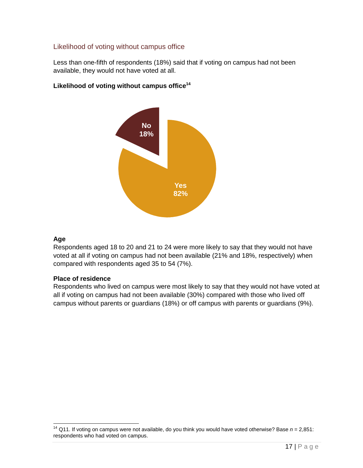#### Likelihood of voting without campus office

Less than one-fifth of respondents (18%) said that if voting on campus had not been available, they would not have voted at all.

#### **Likelihood of voting without campus office<sup>14</sup>**



#### **Age**

 $\overline{a}$ 

Respondents aged 18 to 20 and 21 to 24 were more likely to say that they would not have voted at all if voting on campus had not been available (21% and 18%, respectively) when compared with respondents aged 35 to 54 (7%).

#### **Place of residence**

Respondents who lived on campus were most likely to say that they would not have voted at all if voting on campus had not been available (30%) compared with those who lived off campus without parents or guardians (18%) or off campus with parents or guardians (9%).

<sup>14</sup> Q11. If voting on campus were not available, do you think you would have voted otherwise? Base *n* = 2,851: respondents who had voted on campus.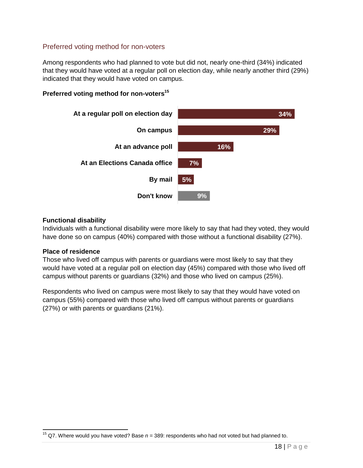#### Preferred voting method for non-voters

Among respondents who had planned to vote but did not, nearly one-third (34%) indicated that they would have voted at a regular poll on election day, while nearly another third (29%) indicated that they would have voted on campus.



**Preferred voting method for non-voters<sup>15</sup>**

#### **Functional disability**

Individuals with a functional disability were more likely to say that had they voted, they would have done so on campus (40%) compared with those without a functional disability (27%).

#### **Place of residence**

Those who lived off campus with parents or guardians were most likely to say that they would have voted at a regular poll on election day (45%) compared with those who lived off campus without parents or guardians (32%) and those who lived on campus (25%).

Respondents who lived on campus were most likely to say that they would have voted on campus (55%) compared with those who lived off campus without parents or guardians (27%) or with parents or guardians (21%).

 <sup>15</sup> Q7. Where would you have voted? Base *n* = 389: respondents who had not voted but had planned to.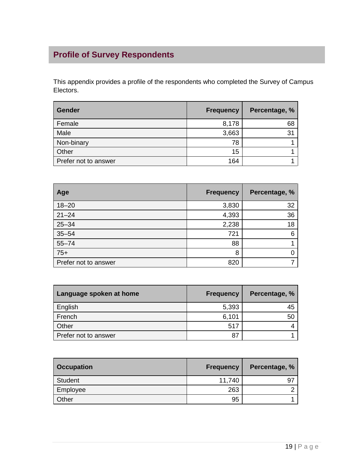# <span id="page-18-0"></span>**Profile of Survey Respondents**

This appendix provides a profile of the respondents who completed the Survey of Campus Electors.

| <b>Gender</b>        | <b>Frequency</b> | Percentage, %  |
|----------------------|------------------|----------------|
| Female               | 8,178            | 68             |
| Male                 | 3,663            | 3 <sub>1</sub> |
| Non-binary           | 78               |                |
| Other                | 15               |                |
| Prefer not to answer | 164              |                |

| Age                  | <b>Frequency</b> | Percentage, % |
|----------------------|------------------|---------------|
| $18 - 20$            | 3,830            | 32            |
| $21 - 24$            | 4,393            | 36            |
| $25 - 34$            | 2,238            | 18            |
| $35 - 54$            | 721              | 6             |
| $55 - 74$            | 88               |               |
| $75+$                | 8                |               |
| Prefer not to answer | 820              |               |

| Language spoken at home | <b>Frequency</b> | Percentage, % |
|-------------------------|------------------|---------------|
| English                 | 5,393            | 45            |
| French                  | 6,101            | 50            |
| Other                   | 517              |               |
| Prefer not to answer    | 87               |               |

| <b>Occupation</b> | <b>Frequency</b> | Percentage, % |
|-------------------|------------------|---------------|
| <b>Student</b>    | 11,740           | 9             |
| Employee          | 263              |               |
| Other             | 95               |               |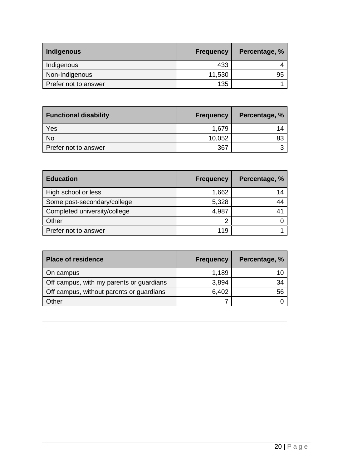| Indigenous           | <b>Frequency</b> | Percentage, % |
|----------------------|------------------|---------------|
| Indigenous           | 433              |               |
| Non-Indigenous       | 11,530           | 95            |
| Prefer not to answer | 135              |               |

| <b>Functional disability</b> | <b>Frequency</b> | Percentage, % |
|------------------------------|------------------|---------------|
| Yes                          | 1,679            | 14            |
| No                           | 10,052           | 83            |
| Prefer not to answer         | 367              |               |

| <b>Education</b>             | <b>Frequency</b> | Percentage, % |
|------------------------------|------------------|---------------|
| High school or less          | 1,662            | 14            |
| Some post-secondary/college  | 5,328            |               |
| Completed university/college | 4,987            |               |
| Other                        | 2                |               |
| Prefer not to answer         | 119              |               |

| <b>Place of residence</b>                | <b>Frequency</b> | Percentage, % |
|------------------------------------------|------------------|---------------|
| On campus                                | 1,189            |               |
| Off campus, with my parents or guardians | 3,894            | 34            |
| Off campus, without parents or guardians | 6,402            | 56            |
| Other                                    |                  |               |